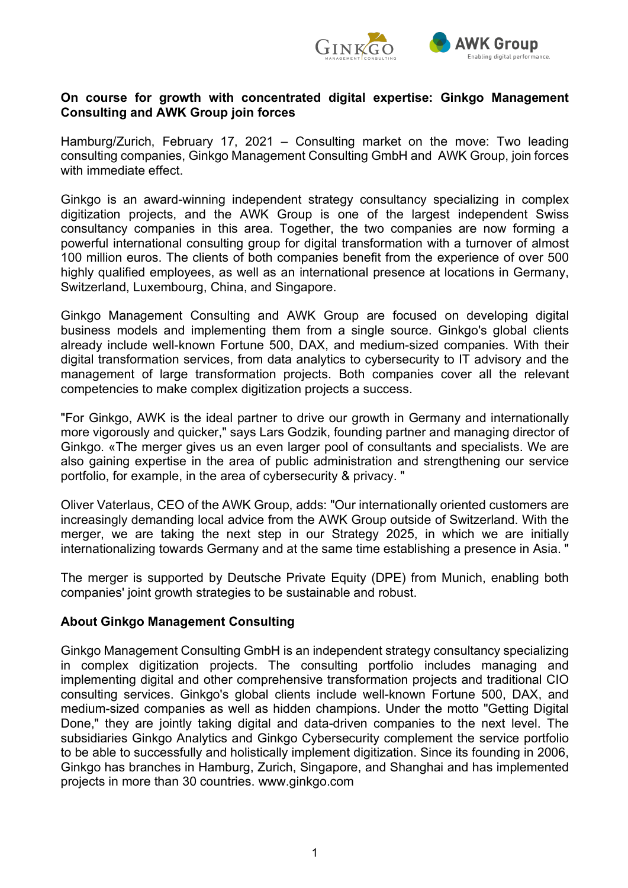

#### **On course for growth with concentrated digital expertise: Ginkgo Management Consulting and AWK Group join forces**

Hamburg/Zurich, February 17, 2021 – Consulting market on the move: Two leading consulting companies, Ginkgo Management Consulting GmbH and AWK Group, join forces with immediate effect.

Ginkgo is an award-winning independent strategy consultancy specializing in complex digitization projects, and the AWK Group is one of the largest independent Swiss consultancy companies in this area. Together, the two companies are now forming a powerful international consulting group for digital transformation with a turnover of almost 100 million euros. The clients of both companies benefit from the experience of over 500 highly qualified employees, as well as an international presence at locations in Germany, Switzerland, Luxembourg, China, and Singapore.

Ginkgo Management Consulting and AWK Group are focused on developing digital business models and implementing them from a single source. Ginkgo's global clients already include well-known Fortune 500, DAX, and medium-sized companies. With their digital transformation services, from data analytics to cybersecurity to IT advisory and the management of large transformation projects. Both companies cover all the relevant competencies to make complex digitization projects a success.

"For Ginkgo, AWK is the ideal partner to drive our growth in Germany and internationally more vigorously and quicker," says Lars Godzik, founding partner and managing director of Ginkgo. «The merger gives us an even larger pool of consultants and specialists. We are also gaining expertise in the area of public administration and strengthening our service portfolio, for example, in the area of cybersecurity & privacy. "

Oliver Vaterlaus, CEO of the AWK Group, adds: "Our internationally oriented customers are increasingly demanding local advice from the AWK Group outside of Switzerland. With the merger, we are taking the next step in our Strategy 2025, in which we are initially internationalizing towards Germany and at the same time establishing a presence in Asia. "

The merger is supported by Deutsche Private Equity (DPE) from Munich, enabling both companies' joint growth strategies to be sustainable and robust.

### **About Ginkgo Management Consulting**

Ginkgo Management Consulting GmbH is an independent strategy consultancy specializing in complex digitization projects. The consulting portfolio includes managing and implementing digital and other comprehensive transformation projects and traditional CIO consulting services. Ginkgo's global clients include well-known Fortune 500, DAX, and medium-sized companies as well as hidden champions. Under the motto "Getting Digital Done," they are jointly taking digital and data-driven companies to the next level. The subsidiaries Ginkgo Analytics and Ginkgo Cybersecurity complement the service portfolio to be able to successfully and holistically implement digitization. Since its founding in 2006, Ginkgo has branches in Hamburg, Zurich, Singapore, and Shanghai and has implemented projects in more than 30 countries. www.ginkgo.com